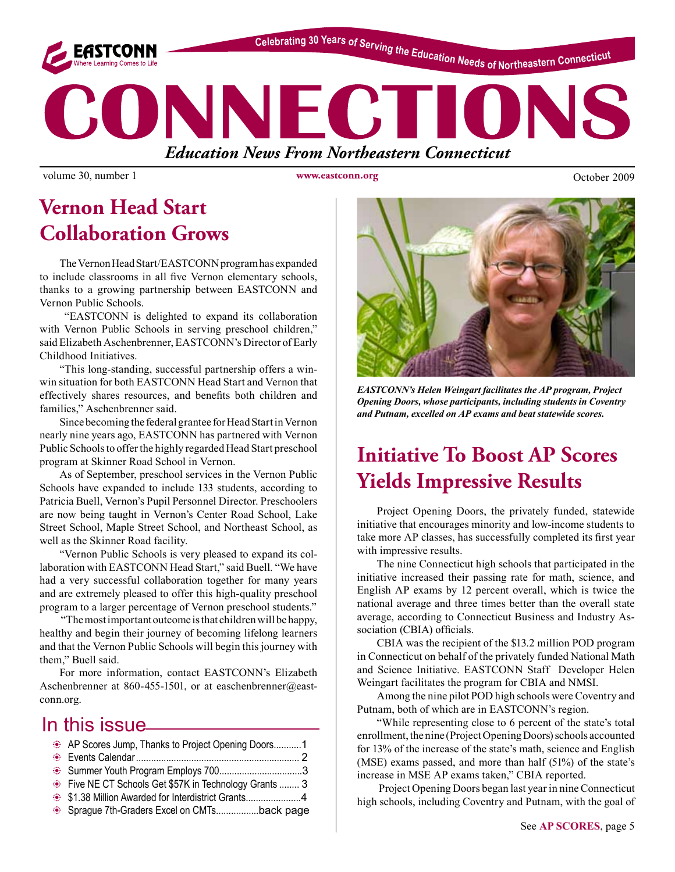

Celebrating 30 Years of Serving the Education Needs of Northeastern Connecticut

# ONNECTI *Education News From Northeastern Connecticut*

volume 30, number 1 www.eastconn.org Corober 2009

**www.eastconn.org**

## **Vernon Head Start Collaboration Grows**

The Vernon Head Start/EASTCONN program has expanded to include classrooms in all fve Vernon elementary schools, thanks to a growing partnership between EASTCONN and Vernon Public Schools.

 "EASTCONN is delighted to expand its collaboration with Vernon Public Schools in serving preschool children," said Elizabeth Aschenbrenner, EASTCONN's Director of Early Childhood Initiatives.

"This long-standing, successful partnership offers a winwin situation for both EASTCONN Head Start and Vernon that effectively shares resources, and benefts both children and families," Aschenbrenner said.

Since becoming the federal grantee for Head Start in Vernon nearly nine years ago, EASTCONN has partnered with Vernon Public Schools to offer the highly regarded Head Start preschool program at Skinner Road School in Vernon.

As of September, preschool services in the Vernon Public Schools have expanded to include 133 students, according to Patricia Buell, Vernon's Pupil Personnel Director. Preschoolers are now being taught in Vernon's Center Road School, Lake Street School, Maple Street School, and Northeast School, as well as the Skinner Road facility.

"Vernon Public Schools is very pleased to expand its collaboration with EASTCONN Head Start," said Buell. "We have had a very successful collaboration together for many years and are extremely pleased to offer this high-quality preschool program to a larger percentage of Vernon preschool students."

 "The most important outcome is that children will be happy, healthy and begin their journey of becoming lifelong learners and that the Vernon Public Schools will begin this journey with them," Buell said.

For more information, contact EASTCONN's Elizabeth Aschenbrenner at 860-455-1501, or at [easchenbrenner@east](mailto:easchenbrenner@eastconn.org)[conn.org](mailto:easchenbrenner@eastconn.org).

### In this issue

| AP Scores Jump, Thanks to Project Opening Doors1     |  |
|------------------------------------------------------|--|
|                                                      |  |
|                                                      |  |
| Five NE CT Schools Get \$57K in Technology Grants  3 |  |
|                                                      |  |
| Sprague 7th-Graders Excel on CMTsback page           |  |



*EASTCONN's Helen Weingart facilitates the AP program, Project Opening Doors, whose participants, including students in Coventry and Putnam, excelled on AP exams and beat statewide scores.*

# **Initiative To Boost AP Scores Yields Impressive Results**

Project Opening Doors, the privately funded, statewide initiative that encourages minority and low-income students to take more AP classes, has successfully completed its frst year with impressive results.

The nine Connecticut high schools that participated in the initiative increased their passing rate for math, science, and English AP exams by 12 percent overall, which is twice the national average and three times better than the overall state average, according to Connecticut Business and Industry Association (CBIA) officials.

CBIA was the recipient of the \$13.2 million POD program in Connecticut on behalf of the privately funded National Math and Science Initiative. EASTCONN Staff Developer Helen Weingart facilitates the program for CBIA and NMSI.

Among the nine pilot POD high schools were Coventry and Putnam, both of which are in EASTCONN's region.

"While representing close to 6 percent of the state's total enrollment, the nine (Project Opening Doors) schools accounted for 13% of the increase of the state's math, science and English (MSE) exams passed, and more than half (51%) of the state's increase in MSE AP exams taken," CBIA reported.

 Project Opening Doors began last year in nine Connecticut high schools, including Coventry and Putnam, with the goal of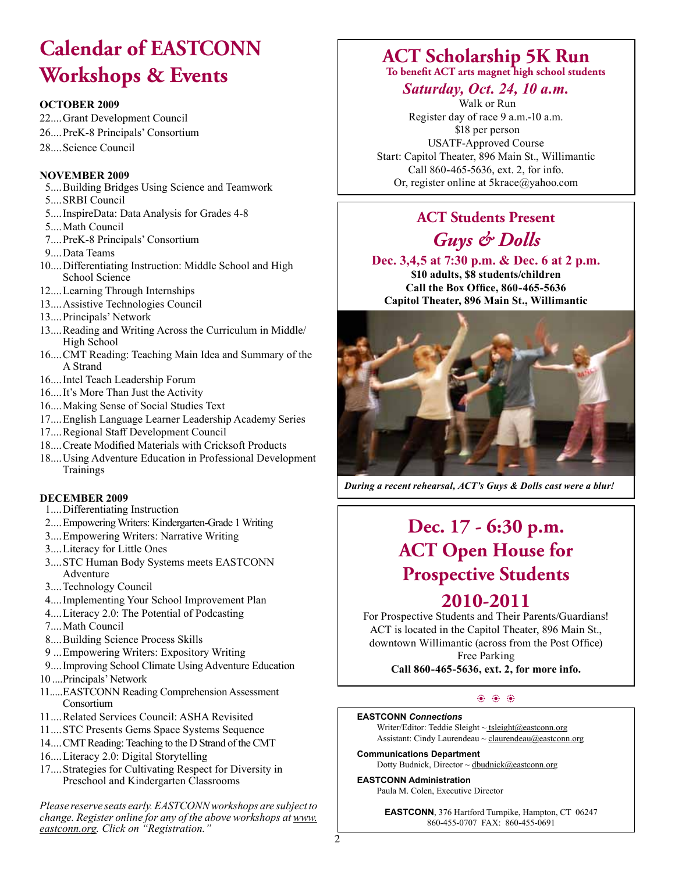# **Calendar of EASTCONN Workshops & Events**

#### **OCTOBER 2009**

- 22....Grant Development Council
- 26....PreK-8 Principals' Consortium
- 28....Science Council

#### **NOVEMBER 2009**

- 5....Building Bridges Using Science and Teamwork
- 5....SRBI Council
- 5....InspireData: Data Analysis for Grades 4-8
- 5....Math Council
- 7....PreK-8 Principals' Consortium
- 9....Data Teams
- 10....Differentiating Instruction: Middle School and High School Science
- 12....Learning Through Internships
- 13....Assistive Technologies Council
- 13....Principals' Network
- 13....Reading and Writing Across the Curriculum in Middle/ High School
- 16....CMT Reading: Teaching Main Idea and Summary of the A Strand
- 16....Intel Teach Leadership Forum
- 16....It's More Than Just the Activity
- 16....Making Sense of Social Studies Text
- 17....English Language Learner Leadership Academy Series
- 17....Regional Staff Development Council
- 18....Create Modifed Materials with Cricksoft Products
- 18....Using Adventure Education in Professional Development **Trainings**

#### **DECEMBER 2009**

- 1....Differentiating Instruction
- 2....Empowering Writers: Kindergarten-Grade 1 Writing
- 3....Empowering Writers: Narrative Writing
- 3....Literacy for Little Ones
- 3....STC Human Body Systems meets EASTCONN Adventure
- 3....Technology Council
- 4....Implementing Your School Improvement Plan
- 4....Literacy 2.0: The Potential of Podcasting
- 7....Math Council
- 8....Building Science Process Skills
- 9 ...Empowering Writers: Expository Writing
- 9....Improving School Climate Using Adventure Education
- 10 ....Principals' Network
- 11.....EASTCONN Reading Comprehension Assessment Consortium
- 11 ....Related Services Council: ASHA Revisited
- 11 ....STC Presents Gems Space Systems Sequence
- 14....CMT Reading: Teaching to the D Strand of the CMT
- 16....Literacy 2.0: Digital Storytelling
- 17....Strategies for Cultivating Respect for Diversity in Preschool and Kindergarten Classrooms

*Please reserve seats early. EASTCONN workshops are subject to change. Register online for any of the above workshops at www. eastconn.org. Click on "Registration."*

### **ACT Scholarship 5K Run**

**To bene!t ACT arts magnet high school students**

### *Saturday, Oct. 24, 10 a.m.*

 Walk or Run Register day of race 9 a.m.-10 a.m. \$18 per person USATF-Approved Course Start: Capitol Theater, 896 Main St., Willimantic Call 860-465-5636, ext. 2, for info. Or, register online at 5krace@yahoo.com

### **ACT Students Present** *Guys & Dolls*

**Dec. 3,4,5 at 7:30 p.m. & Dec. 6 at 2 p.m. \$10 adults, \$8 students/children Call the Box Offce, 860-465-5636 Capitol Theater, 896 Main St., Willimantic**



*During a recent rehearsal, ACT's Guys & Dolls cast were a blur!* 

# **Dec. 17 - 6:30 p.m. ACT Open House for Prospective Students**

### **2010-2011**

For Prospective Students and Their Parents/Guardians! ACT is located in the Capitol Theater, 896 Main St., downtown Willimantic (across from the Post Office) Free Parking

**Call 860-465-5636, ext. 2, for more info.**

#### $\circledast$   $\circledast$

#### **EASTCONN** *Connections*

Writer/Editor: Teddie Sleight ~ tsleight@eastconn.org Assistant: Cindy Laurendeau ~ [claurendeau@eastconn.org](mailto:claurendeau@eastconn.org)

**[Communications Department](%20mailto:connections@eastconn.org)** [Dotty Budnick](mailto:dbudnick@eastconn.org), Director ~ dbudnick@eastconn.org

#### **EASTCONN Administration** Paula M. Colen, Executive Director

**EASTCONN**, 376 Hartford Turnpike, Hampton, CT 06247

860-455-0707 FAX: 860-455-0691

2

- 
-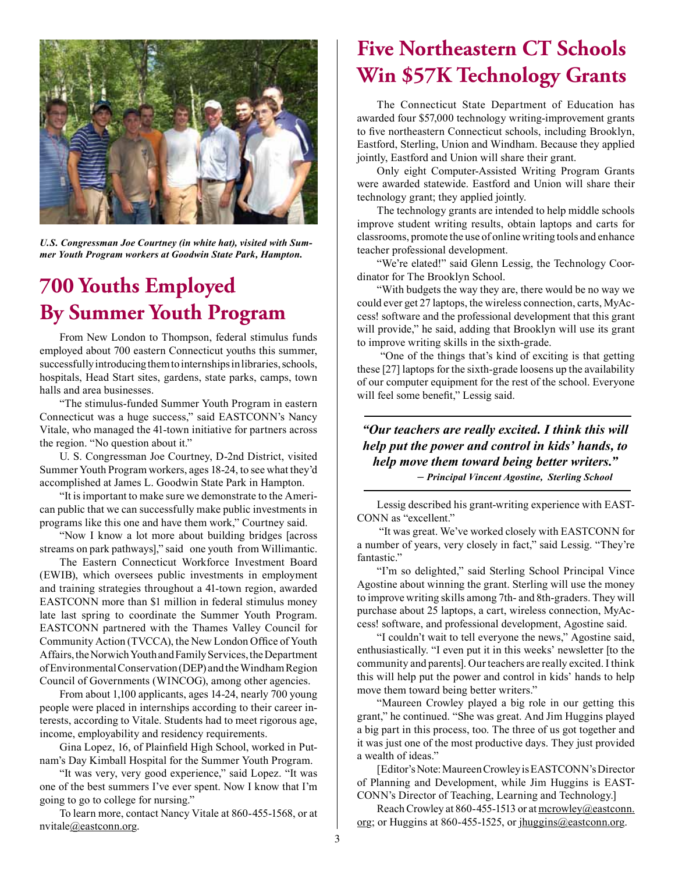

*U.S. Congressman Joe Courtney (in white hat), visited with Summer Youth Program workers at Goodwin State Park, Hampton.* 

# **700 Youths Employed By Summer Youth Program**

From New London to Thompson, federal stimulus funds employed about 700 eastern Connecticut youths this summer, successfully introducing them to internships in libraries, schools, hospitals, Head Start sites, gardens, state parks, camps, town halls and area businesses.

"The stimulus-funded Summer Youth Program in eastern Connecticut was a huge success," said EASTCONN's Nancy Vitale, who managed the 41-town initiative for partners across the region. "No question about it."

U. S. Congressman Joe Courtney, D-2nd District, visited Summer Youth Program workers, ages 18-24, to see what they'd accomplished at James L. Goodwin State Park in Hampton.

"It is important to make sure we demonstrate to the American public that we can successfully make public investments in programs like this one and have them work," Courtney said.

"Now I know a lot more about building bridges [across streams on park pathways]," said one youth from Willimantic.

The Eastern Connecticut Workforce Investment Board (EWIB), which oversees public investments in employment and training strategies throughout a 41-town region, awarded EASTCONN more than \$1 million in federal stimulus money late last spring to coordinate the Summer Youth Program. EASTCONN partnered with the Thames Valley Council for Community Action (TVCCA), the New London Office of Youth Affairs, the Norwich Youth and Family Services, the Department of Environmental Conservation (DEP) and the Windham Region Council of Governments (WINCOG), among other agencies.

From about 1,100 applicants, ages 14-24, nearly 700 young people were placed in internships according to their career interests, according to Vitale. Students had to meet rigorous age, income, employability and residency requirements.

Gina Lopez, 16, of Plainfeld High School, worked in Putnam's Day Kimball Hospital for the Summer Youth Program.

"It was very, very good experience," said Lopez. "It was one of the best summers I've ever spent. Now I know that I'm going to go to college for nursing."

To learn more, contact Nancy Vitale at 860-455-1568, or at nvitale@eastconn.org.

## **Five Northeastern CT Schools Win \$57K Technology Grants**

The Connecticut State Department of Education has awarded four \$57,000 technology writing-improvement grants to fve northeastern Connecticut schools, including Brooklyn, Eastford, Sterling, Union and Windham. Because they applied jointly, Eastford and Union will share their grant.

Only eight Computer-Assisted Writing Program Grants were awarded statewide. Eastford and Union will share their technology grant; they applied jointly.

The technology grants are intended to help middle schools improve student writing results, obtain laptops and carts for classrooms, promote the use of online writing tools and enhance teacher professional development.

"We're elated!" said Glenn Lessig, the Technology Coordinator for The Brooklyn School.

"With budgets the way they are, there would be no way we could ever get 27 laptops, the wireless connection, carts, MyAccess! software and the professional development that this grant will provide," he said, adding that Brooklyn will use its grant to improve writing skills in the sixth-grade.

 "One of the things that's kind of exciting is that getting these [27] laptops for the sixth-grade loosens up the availability of our computer equipment for the rest of the school. Everyone will feel some beneft," Lessig said.

*"Our teachers are really excited. I think this will help put the power and control in kids' hands, to help move them toward being better writers." – Principal Vincent Agostine, Sterling School*

Lessig described his grant-writing experience with EAST-CONN as "excellent."

 "It was great. We've worked closely with EASTCONN for a number of years, very closely in fact," said Lessig. "They're fantastic."

"I'm so delighted," said Sterling School Principal Vince Agostine about winning the grant. Sterling will use the money to improve writing skills among 7th- and 8th-graders. They will purchase about 25 laptops, a cart, wireless connection, MyAccess! software, and professional development, Agostine said.

"I couldn't wait to tell everyone the news," Agostine said, enthusiastically. "I even put it in this weeks' newsletter [to the community and parents]. Our teachers are really excited. I think this will help put the power and control in kids' hands to help move them toward being better writers."

"Maureen Crowley played a big role in our getting this grant," he continued. "She was great. And Jim Huggins played a big part in this process, too. The three of us got together and it was just one of the most productive days. They just provided a wealth of ideas."

[Editor's Note: Maureen Crowley is EASTCONN's Director of Planning and Development, while Jim Huggins is EAST-CONN's Director of Teaching, Learning and Technology.]

Reach Crowley at 860-455-1513 or at mcrowley@eastconn. org; or Huggins at 860-455-1525, or jhuggins@eastconn.org.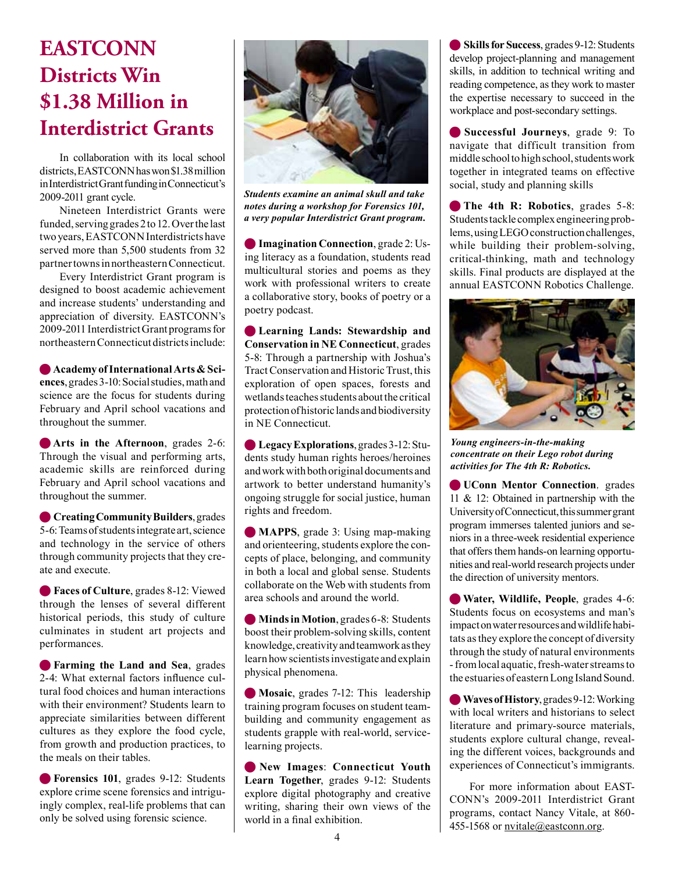# **EASTCONN Districts Win \$1.38 Million in Interdistrict Grants**

In collaboration with its local school districts, EASTCONN has won \$1.38 million in Interdistrict Grant funding in Connecticut's 2009-2011 grant cycle.

Nineteen Interdistrict Grants were funded, serving grades 2 to 12. Over the last two years, EASTCONN Interdistricts have served more than 5,500 students from 32 partner towns in northeastern Connecticut.

Every Interdistrict Grant program is designed to boost academic achievement and increase students' understanding and appreciation of diversity. EASTCONN's 2009-2011 Interdistrict Grant programs for northeastern Connecticut districts include:

**Academy of International Arts & Sciences**, grades 3-10: Social studies, math and science are the focus for students during February and April school vacations and throughout the summer.

**Arts in the Afternoon**, grades 2-6: Through the visual and performing arts, academic skills are reinforced during February and April school vacations and throughout the summer.

**Creating Community Builders**, grades 5-6: Teams of students integrate art, science and technology in the service of others through community projects that they create and execute.

**Faces of Culture**, grades 8-12: Viewed through the lenses of several different historical periods, this study of culture culminates in student art projects and performances.

**Farming the Land and Sea**, grades 2-4: What external factors infuence cultural food choices and human interactions with their environment? Students learn to appreciate similarities between different cultures as they explore the food cycle, from growth and production practices, to the meals on their tables.

**• Forensics 101**, grades 9-12: Students explore crime scene forensics and intriguingly complex, real-life problems that can only be solved using forensic science.



*Students examine an animal skull and take notes during a workshop for Forensics 101, a very popular Interdistrict Grant program.*

**Imagination Connection**, grade 2: Using literacy as a foundation, students read multicultural stories and poems as they work with professional writers to create a collaborative story, books of poetry or a poetry podcast.

**Example Lands: Stewardship and Conservation in NE Connecticut**, grades 5-8: Through a partnership with Joshua's Tract Conservation and Historic Trust, this exploration of open spaces, forests and wetlands teaches students about the critical protection of historic lands and biodiversity in NE Connecticut.

n **Legacy Explorations**, grades 3-12: Students study human rights heroes/heroines and work with both original documents and artwork to better understand humanity's ongoing struggle for social justice, human rights and freedom.

**MAPPS**, grade 3: Using map-making and orienteering, students explore the concepts of place, belonging, and community in both a local and global sense. Students collaborate on the Web with students from area schools and around the world.

**Minds in Motion**, grades 6-8: Students boost their problem-solving skills, content knowledge, creativity and teamwork as they learn how scientists investigate and explain physical phenomena.

**Mosaic**, grades 7-12: This leadership training program focuses on student teambuilding and community engagement as students grapple with real-world, servicelearning projects.

n **New Images**: **Connecticut Youth Learn Together**, grades 9-12: Students explore digital photography and creative writing, sharing their own views of the world in a fnal exhibition.

n **Skills for Success**, grades 9-12: Students develop project-planning and management skills, in addition to technical writing and reading competence, as they work to master the expertise necessary to succeed in the workplace and post-secondary settings.

n **Successful Journeys**, grade 9: To navigate that difficult transition from middle school to high school, students work together in integrated teams on effective social, study and planning skills

**The 4th R: Robotics**, grades 5-8: Students tackle complex engineering problems, using LEGO construction challenges, while building their problem-solving, critical-thinking, math and technology skills. Final products are displayed at the annual EASTCONN Robotics Challenge.



*Young engineers-in-the-making concentrate on their Lego robot during activities for The 4th R: Robotics.* 

**O UConn Mentor Connection**, grades 11 & 12: Obtained in partnership with the University of Connecticut, this summer grant program immerses talented juniors and seniors in a three-week residential experience that offers them hands-on learning opportunities and real-world research projects under the direction of university mentors.

**Water, Wildlife, People**, grades 4-6: Students focus on ecosystems and man's impact on water resources and wildlife habitats as they explore the concept of diversity through the study of natural environments - from local aquatic, fresh-water streams to the estuaries of eastern Long Island Sound.

**Waves of History**, grades 9-12: Working with local writers and historians to select literature and primary-source materials, students explore cultural change, revealing the different voices, backgrounds and experiences of Connecticut's immigrants.

For more information about EAST-CONN's 2009-2011 Interdistrict Grant programs, contact Nancy Vitale, at 860- 455-1568 or nvitale@eastconn.org.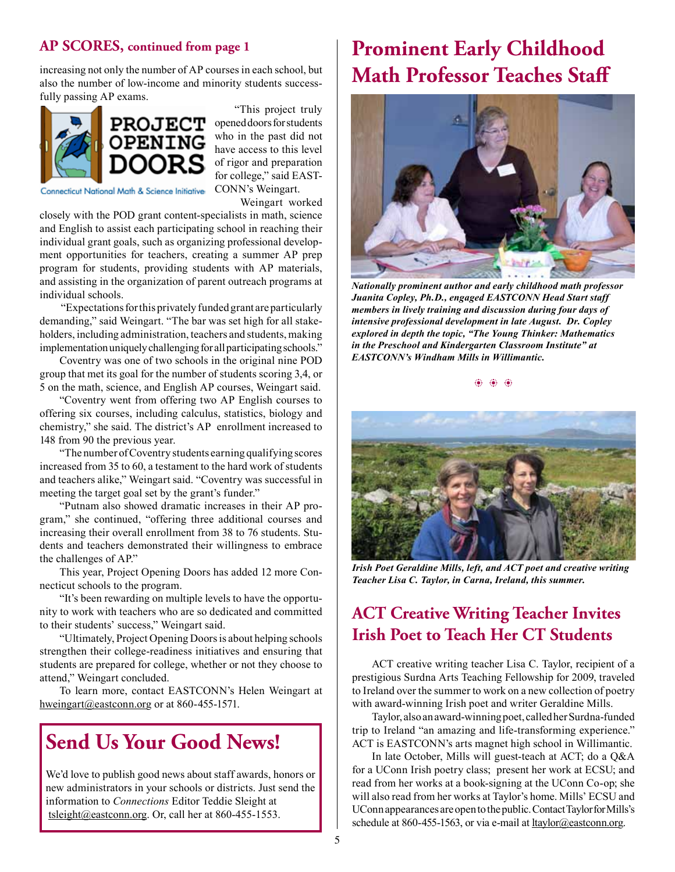#### **AP SCORES, continued from page 1**

increasing not only the number of AP courses in each school, but also the number of low-income and minority students successfully passing AP exams.



"This project truly opened doors for students who in the past did not have access to this level of rigor and preparation for college," said EAST-CONN's Weingart.

Connecticut National Math & Science Initiative

 Weingart worked closely with the POD grant content-specialists in math, science and English to assist each participating school in reaching their individual grant goals, such as organizing professional development opportunities for teachers, creating a summer AP prep program for students, providing students with AP materials, and assisting in the organization of parent outreach programs at individual schools.

 "Expectations for this privately funded grant are particularly demanding," said Weingart. "The bar was set high for all stakeholders, including administration, teachers and students, making implementation uniquely challenging for all participating schools."

Coventry was one of two schools in the original nine POD group that met its goal for the number of students scoring 3,4, or 5 on the math, science, and English AP courses, Weingart said.

"Coventry went from offering two AP English courses to offering six courses, including calculus, statistics, biology and chemistry," she said. The district's AP enrollment increased to 148 from 90 the previous year.

"The number of Coventry students earning qualifying scores increased from 35 to 60, a testament to the hard work of students and teachers alike," Weingart said. "Coventry was successful in meeting the target goal set by the grant's funder."

"Putnam also showed dramatic increases in their AP program," she continued, "offering three additional courses and increasing their overall enrollment from 38 to 76 students. Students and teachers demonstrated their willingness to embrace the challenges of AP."

This year, Project Opening Doors has added 12 more Connecticut schools to the program.

"It's been rewarding on multiple levels to have the opportunity to work with teachers who are so dedicated and committed to their students' success," Weingart said.

"Ultimately, Project Opening Doors is about helping schools strengthen their college-readiness initiatives and ensuring that students are prepared for college, whether or not they choose to attend," Weingart concluded.

To learn more, contact EASTCONN's Helen Weingart at [hweingart@eastconn.org](mailto:hweingart@eastconn.org) or at 860-455-1571.

### **Send Us Your Good News!**

We'd love to publish good news about staff awards, honors or new administrators in your schools or districts. Just send the information to *Connections* Editor Teddie Sleight at [tsleight@eastconn.org](mailto:tsleight@eastconn.org). Or, call her at 860-455-1553.

## **Prominent Early Childhood Math Professor Teaches Staff**



*Nationally prominent author and early childhood math professor Juanita Copley, Ph.D., engaged EASTCONN Head Start staff members in lively training and discussion during four days of intensive professional development in late August. Dr. Copley explored in depth the topic, "The Young Thinker: Mathematics in the Preschool and Kindergarten Classroom Institute" at EASTCONN's Windham Mills in Willimantic.* 

 $\dddot{\bullet}$   $\dddot{\bullet}$   $\dddot{\bullet}$   $\dddot{\bullet}$ 



*Irish Poet Geraldine Mills, left, and ACT poet and creative writing Teacher Lisa C. Taylor, in Carna, Ireland, this summer.* 

### **ACT Creative Writing Teacher Invites Irish Poet to Teach Her CT Students**

ACT creative writing teacher Lisa C. Taylor, recipient of a prestigious Surdna Arts Teaching Fellowship for 2009, traveled to Ireland over the summer to work on a new collection of poetry with award-winning Irish poet and writer Geraldine Mills.

Taylor, also an award-winning poet, called her Surdna-funded trip to Ireland "an amazing and life-transforming experience." ACT is EASTCONN's arts magnet high school in Willimantic.

In late October, Mills will guest-teach at ACT; do a Q&A for a UConn Irish poetry class; present her work at ECSU; and read from her works at a book-signing at the UConn Co-op; she will also read from her works at Taylor's home. Mills' ECSU and UConn appearances are open to the public. Contact Taylor for Mills's schedule at 860-455-1563, or via e-mail at **hashardlar** deastconn.org.